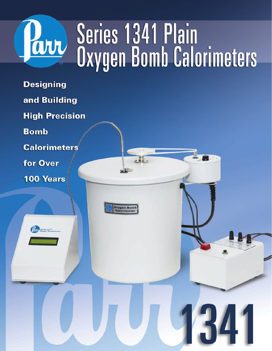

# **Parry Series 1341 Plain<br>Oxygen Bomb Calorimeters**

**Designing** and Building **High Precision Bomb Calorimeters**  $\frac{1}{2}$ for Over **100 Years** Oxygen Bomb<br>Calorimeter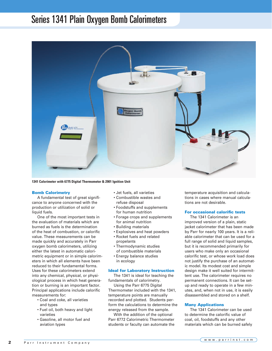# Series 1341 Plain Oxygen Bomb Calorimeters



**1341 Calorimeter with 6775 Digital Thermometer & 2901 Ignition Unit**

### Bomb Calorimetry

A fundamental test of great significance to anyone concerned with the production or utilization of solid or liquid fuels.

One of the most important tests in the evaluation of materials which are burned as fuels is the determination of the heat of combustion, or calorific value. These measurements can be made quickly and accurately in Parr oxygen bomb calorimeters, utilizing either the latest in automatic calorimetric equipment or in simple calorimeters in which all elements have been reduced to their fundamental forms. Uses for these calorimeters extend into any chemical, physical, or physiological process in which heat generation or burning is an important factor. Principal applications include calorific measurements for:

- Coal and coke, all varieties and types
- Fuel oil, both heavy and light varieties
- Gasoline, all motor fuel and aviation types
- Jet fuels, all varieties
- Combustible wastes and refuse disposal
- Foodstuffs and supplements for human nutrition
- Forage crops and supplements for animal nutrition
- Building materials
- Explosives and heat powders
- Rocket fuels and related propelants
- Thermodynamic studies of combustible materials
- Energy balance studies in ecology

### Ideal for Laboratory Instruction

The 1341 is ideal for teaching the fundamentals of calorimetry.

Using the Parr 6775 Digital Thermometer included with the 1341, temperature points are manually recorded and plotted. Students perform the calculations to determine the energy released from the sample.

With the addition of the optional Parr 6772 Calorimetric Thermometer students or faculty can automate the

temperature acquisition and calculations in cases where manual calculations are not desirable.

### For occasional calorific tests

The 1341 Calorimeter is an improved version of a plain, static jacket calorimeter that has been made by Parr for nearly 100 years. It is a reliable calorimeter that can be used for a full range of solid and liquid samples, but it is recommended primarily for users who make only an occasional calorific test, or whose work load does not justify the purchase of an automatic model. Its modest cost and simple design make it well suited for intermittent use. The calorimeter requires no permanent connections. It can be setup and ready to operate in a few minutes, and, when not in use, it is easily disassembled and stored on a shelf.

### Many Applications

The 1341 Calorimeter can be used to determine the calorific value of coal, oil, foodstuffs and any other materials which can be burned safely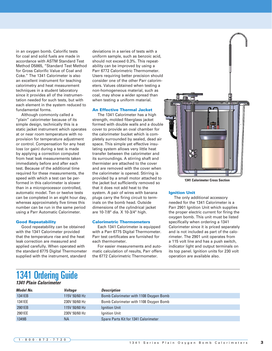in an oxygen bomb. Calorific tests for coal and solid fuels are made in accordance with ASTM Standard Test Method D5865, "Standard Test Method for Gross Calorific Value of Coal and Coke." The 1341 Calorimeter is also an excellent instrument for teaching calorimetry and heat measurement techniques in a student laboratory since it provides all of the instrumentation needed for such tests, but with each element in the system reduced to fundamental forms.

Although commonly called a "plain" calorimeter because of its simple design, technically this is a static jacket instrument which operates at or near room temperature with no provision for temperature adjustment or control. Compensation for any heat loss (or gain) during a test is made by applying a correction computed from heat leak measurements taken immediately before and after each test. Because of the additional time required for these measurements, the speed with which a test can be performed in this calorimeter is slower than in a microprocessor controlled, automatic model. Ten or twelve tests can be completed in an eight hour day, whereas approximately five times this number can be run in the same period using a Parr Automatic Calorimeter.

### Good Repeatability

Good repeatability can be obtained with the 1341 Calorimeter provided that the temperature rise and the heat leak correction are measured and applied carefully. When operated with the standard 6775 Digital Thermometer supplied with the instrument, standard

deviations in a series of tests with a uniform sample, such as benzoic acid, should not exceed 0.3%. This repeatability can be improved by using a Parr 6772 Calorimetric Thermometer. Users requiring better precision should consider one of the other Parr calorimeters. Values obtained when testing a non-homogeneous material, such as coal, may show a wider spread than when testing a uniform material.

### An Effective Thermal Jacket

The 1341 Calorimeter has a high strength, molded fiberglass jacket formed with double walls and a double cover to provide an oval chamber for the calorimeter bucket which is completely surrounded by sealed, dead air space. This simple yet effective insulating system allows very little heat transfer between the calorimeter and its surroundings. A stirring shaft and thermister are attached to the cover and are removed with the cover when the calorimeter is opened. Stirring is provided by a small motor attached to the jacket but sufficiently removed so that it does not add heat to the system. A pair of wires with banana plugs carry the firing circuit to terminals on the bomb head. Outside dimensions of the cylindrical jacket are 10-7/8" dia. X 10-3/4" high.

### Calorimetric Thermometers

Each 1341 Calorimeter is equipped with a Parr 6775 Digital Thermometer. Parr test certificates are furnished for each thermometer.

For easier measurements and automatic calculation of results, Parr offers the 6772 Calorimetric Thermometer.



**1341 Calorimeter Cross Section**

### Ignition Unit

The only additional accessory needed for the 1341 Calorimeter is a Parr 2901 Ignition Unit which supplies the proper electric current for firing the oxygen bomb. This unit must be listed specifically when ordering a 1341 Calorimeter since it is priced separately and is not included as part of the calorimeter. The 2901 unit operates from a 115 volt line and has a push switch, indicator light and output terminals on its top panel. Ignition units for 230 volt operation are available also.

## 1341 Ordering Guide

### *1341 Plain Calorimeter*

| Model No. | <b>Voltage</b> | <b>Description</b>                     |
|-----------|----------------|----------------------------------------|
| 1341EB    | 115V 50/60 Hz  | Bomb Calorimeter with 1108 Oxygen Bomb |
| 1341EE    | 230V 50/60 Hz  | Bomb Calorimeter with 1108 Oxygen Bomb |
| 2901EB    | 115V 50/60 Hz  | <b>Ignition Unit</b>                   |
| 2901EE    | 230V 50/60 Hz  | Ignition Unit                          |
| 1349B     | <b>NA</b>      | Spare Parts Kit for 1341 Calorimeter   |